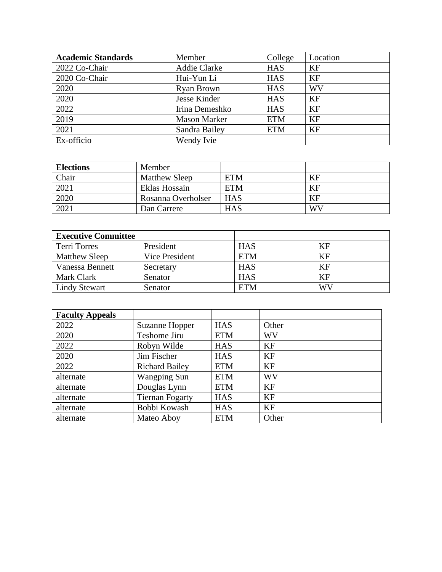| <b>Academic Standards</b> | Member              | College    | Location  |
|---------------------------|---------------------|------------|-----------|
| 2022 Co-Chair             | <b>Addie Clarke</b> | <b>HAS</b> | KF        |
| 2020 Co-Chair             | Hui-Yun Li          | <b>HAS</b> | <b>KF</b> |
| 2020                      | <b>Ryan Brown</b>   | <b>HAS</b> | WV        |
| 2020                      | Jesse Kinder        | <b>HAS</b> | <b>KF</b> |
| 2022                      | Irina Demeshko      | <b>HAS</b> | <b>KF</b> |
| 2019                      | <b>Mason Marker</b> | <b>ETM</b> | <b>KF</b> |
| 2021                      | Sandra Bailey       | <b>ETM</b> | KF        |
| Ex-officio                | Wendy Ivie          |            |           |

| <b>Elections</b> | Member               |            |           |
|------------------|----------------------|------------|-----------|
| Chair            | <b>Matthew Sleep</b> | <b>ETM</b> | <b>KF</b> |
| 2021             | Eklas Hossain        | <b>ETM</b> | KF        |
| 2020             | Rosanna Overholser   | <b>HAS</b> | <b>KF</b> |
| 2021             | Dan Carrere          | <b>HAS</b> | WV        |

| <b>Executive Committee</b> |                |            |           |
|----------------------------|----------------|------------|-----------|
| Terri Torres               | President      | <b>HAS</b> | KF        |
| <b>Matthew Sleep</b>       | Vice President | <b>ETM</b> | <b>KF</b> |
| Vanessa Bennett            | Secretary      | <b>HAS</b> | KF        |
| Mark Clark                 | Senator        | <b>HAS</b> | <b>KF</b> |
| <b>Lindy Stewart</b>       | Senator        | <b>ETM</b> | WV        |

| <b>Faculty Appeals</b> |                        |            |           |
|------------------------|------------------------|------------|-----------|
| 2022                   | Suzanne Hopper         | <b>HAS</b> | Other     |
| 2020                   | Teshome Jiru           | <b>ETM</b> | <b>WV</b> |
| 2022                   | Robyn Wilde            | <b>HAS</b> | <b>KF</b> |
| 2020                   | Jim Fischer            | <b>HAS</b> | <b>KF</b> |
| 2022                   | <b>Richard Bailey</b>  | <b>ETM</b> | <b>KF</b> |
| alternate              | <b>Wangping Sun</b>    | <b>ETM</b> | <b>WV</b> |
| alternate              | Douglas Lynn           | <b>ETM</b> | <b>KF</b> |
| alternate              | <b>Tiernan Fogarty</b> | <b>HAS</b> | <b>KF</b> |
| alternate              | Bobbi Kowash           | <b>HAS</b> | KF        |
| alternate              | Mateo Aboy             | <b>ETM</b> | Other     |